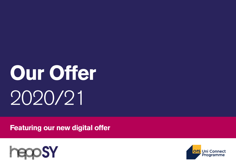## **Our Offer** 2020/21

**Featuring our new digital offer**



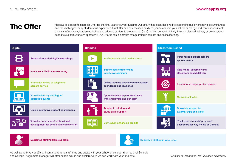The Offer HeppSY is pleased to share its Offer for the final year of current funding. Our activity has been designed to respond to rapidly changing circumstances and the challenges many students will experience. Our Offer the aims of our work, to raise aspiration and address barriers to progression. Our Offer can be used digitally, through blended delivery or be classroom based to support your own approach\*'. Our Offer is compliant with safeguarding in remote and online learning.









As well as activity, HeppSY will continue to fund staff time and capacity in your school or college. Your regional Schools and College Programme Manager will offer expert advice and explore ways we can work with your students.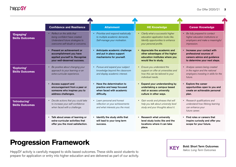|                                         | <b>Confidence and Resilience</b>                                                                                                     | <b>Attainment</b>                                                                                     | <b>HE Knowledge</b>                                                                                                                    | <b>Career Knowledge</b>                                                                                                 |
|-----------------------------------------|--------------------------------------------------------------------------------------------------------------------------------------|-------------------------------------------------------------------------------------------------------|----------------------------------------------------------------------------------------------------------------------------------------|-------------------------------------------------------------------------------------------------------------------------|
| 'Engaging'<br><b>Skills Outcomes</b>    | • Reflect on the skills that<br>being confident have created.<br>Understand future strategies to<br>overcome self-doubt or concerns. | Prioritise and respond realistically<br>to multiple academic demands.<br>Self-manage your motivation. | • Clarify what a successful higher<br>education application looks like.<br>Identify opportunities to enhance<br>your personal profile. | • Be fully prepared to contact<br>higher education institutions or<br>employers and make a meaningful<br>impression.    |
|                                         | • Present an achievement or<br>accomplishment you have<br>applied yourself to. Recognise<br>your well-deserved success.              | Anticipate academic challenge<br>and put in place support<br>mechanisms for yourself.                 | • Appreciate the academic and<br>other advantages of the higher<br>education institutes where you<br>would like to study.              | • Increase your contact with<br>professional sources of<br>careers advice and guidance<br>to determine your next steps. |
| 'Exploring'<br><b>Skills Outcomes</b>   | • Be positive about changing your<br>approach to your learning or an<br>extra-curricular experience.                                 | • Pursue and expand your subject<br>knowledge beyond the classroom<br>and display academic interest.  | • Ensure you understand the<br>support on offer at universities and<br>how this can be tailored to your<br>individual needs.           | • Analyse careers being created<br>in the region and the national<br>employers investing in skills for the<br>future.   |
|                                         | • Access support and<br>encouragement from a peer or<br>someone who inspires you to<br>address challenges.                           | Have the determination to<br>practice and keep focused<br>when faced with academic<br>difficulty.     | Expand your understanding by<br>undertaking a campus based<br>visit or access university<br>culture in other ways.                     | <b>Explore the career</b><br>opportunities open to you and<br>create an achievable personal<br>plan.                    |
| 'Introducing'<br><b>Skills Outcomes</b> | • Decide actions that you could take<br>to increase your self-confidence<br>when faced with a challenge.                             | - Learn personal and honest<br>reflection on your achievements<br>and what interests you the most.    | • Gain words and phrases that will<br>help you talk about university level<br>study and your thoughts about it.                        | • Research qualifications and<br>understand how lifelong learning<br>can enhance your<br>future career.                 |
|                                         | • Talk about areas of learning or<br>extra-curricular activities that<br>offer you the most satisfaction.                            | • Identify the study skills that<br>will lead to your long term<br>success.                           | • Research what university<br>level study looks like and the<br>locations where it can take<br>place.                                  | • Find roles or careers that<br>inspire curiosity and offer you<br>scope for your future.                               |

## **Progression Framework**

HeppSY activity is carefully mapped to skills based outcomes. These skills assist students to prepare for application or entry into higher education and are delivered as part of our activity.



Bold: Short Term Outcomes *Italics: Long Term Outcomes*